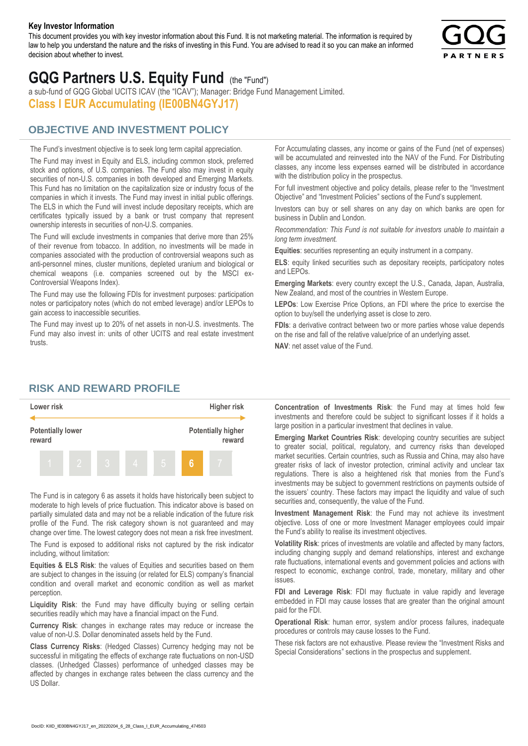#### **Key Investor Information**

This document provides you with key investor information about this Fund. It is not marketing material. The information is required by law to help you understand the nature and the risks of investing in this Fund. You are advised to read it so you can make an informed decision about whether to invest.



# **GQG Partners U.S. Equity Fund** (the "Fund")

a sub-fund of GQG Global UCITS ICAV (the "ICAV"); Manager: Bridge Fund Management Limited. **Class I EUR Accumulating (IE00BN4GYJ17)**

#### **OBJECTIVE AND INVESTMENT POLICY**

The Fund's investment objective is to seek long term capital appreciation. The Fund may invest in Equity and ELS, including common stock, preferred stock and options, of U.S. companies. The Fund also may invest in equity securities of non-U.S. companies in both developed and Emerging Markets. This Fund has no limitation on the capitalization size or industry focus of the companies in which it invests. The Fund may invest in initial public offerings. The ELS in which the Fund will invest include depositary receipts, which are certificates typically issued by a bank or trust company that represent ownership interests in securities of non-U.S. companies.

The Fund will exclude investments in companies that derive more than 25% of their revenue from tobacco. In addition, no investments will be made in companies associated with the production of controversial weapons such as anti-personnel mines, cluster munitions, depleted uranium and biological or chemical weapons (i.e. companies screened out by the MSCI ex-Controversial Weapons Index).

The Fund may use the following FDIs for investment purposes: participation notes or participatory notes (which do not embed leverage) and/or LEPOs to gain access to inaccessible securities.

The Fund may invest up to 20% of net assets in non-U.S. investments. The Fund may also invest in: units of other UCITS and real estate investment trusts.

For Accumulating classes, any income or gains of the Fund (net of expenses) will be accumulated and reinvested into the NAV of the Fund. For Distributing classes, any income less expenses earned will be distributed in accordance with the distribution policy in the prospectus.

For full investment objective and policy details, please refer to the "Investment Objective" and "Investment Policies" sections of the Fund's supplement.

Investors can buy or sell shares on any day on which banks are open for business in Dublin and London.

*Recommendation: This Fund is not suitable for investors unable to maintain a long term investment.*

**Equities**: securities representing an equity instrument in a company.

**ELS**: equity linked securities such as depositary receipts, participatory notes and LEPOs.

**Emerging Markets**: every country except the U.S., Canada, Japan, Australia, New Zealand, and most of the countries in Western Europe.

**LEPOs**: Low Exercise Price Options, an FDI where the price to exercise the option to buy/sell the underlying asset is close to zero.

**FDIs**: a derivative contract between two or more parties whose value depends on the rise and fall of the relative value/price of an underlying asset.

**NAV**: net asset value of the Fund.

#### **RISK AND REWARD PROFILE**



The Fund is in category 6 as assets it holds have historically been subject to moderate to high levels of price fluctuation. This indicator above is based on partially simulated data and may not be a reliable indication of the future risk profile of the Fund. The risk category shown is not guaranteed and may change over time. The lowest category does not mean a risk free investment.

The Fund is exposed to additional risks not captured by the risk indicator including, without limitation:

**Equities & ELS Risk**: the values of Equities and securities based on them are subject to changes in the issuing (or related for ELS) company's financial condition and overall market and economic condition as well as market perception.

**Liquidity Risk**: the Fund may have difficulty buying or selling certain securities readily which may have a financial impact on the Fund.

**Currency Risk**: changes in exchange rates may reduce or increase the value of non-U.S. Dollar denominated assets held by the Fund.

**Class Currency Risks**: (Hedged Classes) Currency hedging may not be successful in mitigating the effects of exchange rate fluctuations on non-USD classes. (Unhedged Classes) performance of unhedged classes may be affected by changes in exchange rates between the class currency and the US Dollar.

**Concentration of Investments Risk**: the Fund may at times hold few investments and therefore could be subject to significant losses if it holds a large position in a particular investment that declines in value.

**Emerging Market Countries Risk**: developing country securities are subject to greater social, political, regulatory, and currency risks than developed market securities. Certain countries, such as Russia and China, may also have greater risks of lack of investor protection, criminal activity and unclear tax regulations. There is also a heightened risk that monies from the Fund's investments may be subject to government restrictions on payments outside of the issuers' country. These factors may impact the liquidity and value of such securities and, consequently, the value of the Fund.

**Investment Management Risk**: the Fund may not achieve its investment objective. Loss of one or more Investment Manager employees could impair the Fund's ability to realise its investment objectives.

**Volatility Risk**: prices of investments are volatile and affected by many factors, including changing supply and demand relationships, interest and exchange rate fluctuations, international events and government policies and actions with respect to economic, exchange control, trade, monetary, military and other issues.

**FDI and Leverage Risk**: FDI may fluctuate in value rapidly and leverage embedded in FDI may cause losses that are greater than the original amount paid for the FDI.

**Operational Risk**: human error, system and/or process failures, inadequate procedures or controls may cause losses to the Fund.

These risk factors are not exhaustive. Please review the "Investment Risks and Special Considerations" sections in the prospectus and supplement.